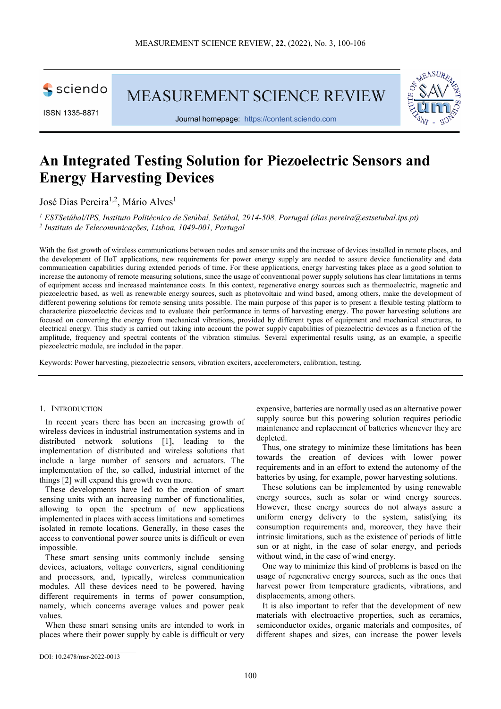sciendo

ISSN 1335-8871

MEASUREMENT SCIENCE REVIEW



Journal homepage: [https://content.sciendo.com](https://content.sciendo.com/view/journals/msr/msr-overview.xml)

# **An Integrated Testing Solution for Piezoelectric Sensors and Energy Harvesting Devices**

José Dias Pereira<sup>1,2</sup>, Mário Alves<sup>1</sup>

*<sup>1</sup> ESTSetúbal/IPS, Instituto Politécnico de Setúbal, Setúbal, 2914-508, Portugal [\(dias.pereira@estsetubal.ips.pt\)](mailto:dias.pereira@estsetubal.ips.pt) <sup>2</sup> Instituto de Telecomunicações, Lisboa, 1049-001, Portugal*

With the fast growth of wireless communications between nodes and sensor units and the increase of devices installed in remote places, and the development of IIoT applications, new requirements for power energy supply are needed to assure device functionality and data communication capabilities during extended periods of time. For these applications, energy harvesting takes place as a good solution to increase the autonomy of remote measuring solutions, since the usage of conventional power supply solutions has clear limitations in terms of equipment access and increased maintenance costs. In this context, regenerative energy sources such as thermoelectric, magnetic and piezoelectric based, as well as renewable energy sources, such as photovoltaic and wind based, among others, make the development of different powering solutions for remote sensing units possible. The main purpose of this paper is to present a flexible testing platform to characterize piezoelectric devices and to evaluate their performance in terms of harvesting energy. The power harvesting solutions are focused on converting the energy from mechanical vibrations, provided by different types of equipment and mechanical structures, to electrical energy. This study is carried out taking into account the power supply capabilities of piezoelectric devices as a function of the amplitude, frequency and spectral contents of the vibration stimulus. Several experimental results using, as an example, a specific piezoelectric module, are included in the paper.

Keywords: Power harvesting, piezoelectric sensors, vibration exciters, accelerometers, calibration, testing.

## 1. INTRODUCTION

In recent years there has been an increasing growth of wireless devices in industrial instrumentation systems and in distributed network solutions [1], leading to the implementation of distributed and wireless solutions that include a large number of sensors and actuators. The implementation of the, so called, industrial internet of the things [2] will expand this growth even more.

These developments have led to the creation of smart sensing units with an increasing number of functionalities, allowing to open the spectrum of new applications implemented in places with access limitations and sometimes isolated in remote locations. Generally, in these cases the access to conventional power source units is difficult or even impossible.

These smart sensing units commonly include sensing devices, actuators, voltage converters, signal conditioning and processors, and, typically, wireless communication modules. All these devices need to be powered, having different requirements in terms of power consumption, namely, which concerns average values and power peak values.

When these smart sensing units are intended to work in places where their power supply by cable is difficult or very

expensive, batteries are normally used as an alternative power supply source but this powering solution requires periodic maintenance and replacement of batteries whenever they are depleted.

Thus, one strategy to minimize these limitations has been towards the creation of devices with lower power requirements and in an effort to extend the autonomy of the batteries by using, for example, power harvesting solutions.

These solutions can be implemented by using renewable energy sources, such as solar or wind energy sources. However, these energy sources do not always assure a uniform energy delivery to the system, satisfying its consumption requirements and, moreover, they have their intrinsic limitations, such as the existence of periods of little sun or at night, in the case of solar energy, and periods without wind, in the case of wind energy.

One way to minimize this kind of problems is based on the usage of regenerative energy sources, such as the ones that harvest power from temperature gradients, vibrations, and displacements, among others.

It is also important to refer that the development of new materials with electroactive properties, such as ceramics, semiconductor oxides, organic materials and composites, of different shapes and sizes, can increase the power levels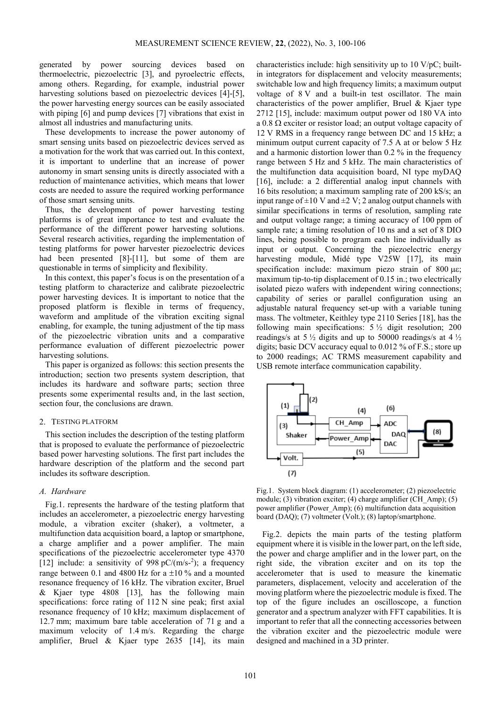generated by power sourcing devices based on thermoelectric, piezoelectric [3], and pyroelectric effects, among others. Regarding, for example, industrial power harvesting solutions based on piezoelectric devices [4]-[5], the power harvesting energy sources can be easily associated with piping [6] and pump devices [7] vibrations that exist in almost all industries and manufacturing units.

These developments to increase the power autonomy of smart sensing units based on piezoelectric devices served as a motivation for the work that was carried out. In this context, it is important to underline that an increase of power autonomy in smart sensing units is directly associated with a reduction of maintenance activities, which means that lower costs are needed to assure the required working performance of those smart sensing units.

Thus, the development of power harvesting testing platforms is of great importance to test and evaluate the performance of the different power harvesting solutions. Several research activities, regarding the implementation of testing platforms for power harvester piezoelectric devices had been presented [8]-[11], but some of them are questionable in terms of simplicity and flexibility.

In this context, this paper's focus is on the presentation of a testing platform to characterize and calibrate piezoelectric power harvesting devices. It is important to notice that the proposed platform is flexible in terms of frequency, waveform and amplitude of the vibration exciting signal enabling, for example, the tuning adjustment of the tip mass of the piezoelectric vibration units and a comparative performance evaluation of different piezoelectric power harvesting solutions.

This paper is organized as follows: this section presents the introduction; section two presents system description, that includes its hardware and software parts; section three presents some experimental results and, in the last section, section four, the conclusions are drawn.

#### 2. TESTING PLATFORM

This section includes the description of the testing platform that is proposed to evaluate the performance of piezoelectric based power harvesting solutions. The first part includes the hardware description of the platform and the second part includes its software description.

## *A. Hardware*

Fig.1. represents the hardware of the testing platform that includes an accelerometer, a piezoelectric energy harvesting module, a vibration exciter (shaker), a voltmeter, a multifunction data acquisition board, a laptop or smartphone, a charge amplifier and a power amplifier. The main specifications of the piezoelectric accelerometer type 4370 [12] include: a sensitivity of  $998 \text{ pC/(m/s-2)}$ ; a frequency range between 0.1 and 4800 Hz for a  $\pm 10$  % and a mounted resonance frequency of 16 kHz. The vibration exciter, Bruel & Kjaer type 4808 [13], has the following main specifications: force rating of 112 N sine peak; first axial resonance frequency of 10 kHz; maximum displacement of 12.7 mm; maximum bare table acceleration of 71 g and a maximum velocity of 1.4 m/s. Regarding the charge amplifier, Bruel & Kjaer type 2635 [14], its main

characteristics include: high sensitivity up to 10 V/pC; builtin integrators for displacement and velocity measurements; switchable low and high frequency limits; a maximum output voltage of 8 V and a built-in test oscillator. The main characteristics of the power amplifier, Bruel & Kjaer type 2712 [15], include: maximum output power od 180 VA into a 0.8 Ω exciter or resistor load; an output voltage capacity of 12 V RMS in a frequency range between DC and 15 kHz; a minimum output current capacity of 7.5 A at or below 5 Hz and a harmonic distortion lower than 0.2 % in the frequency range between 5 Hz and 5 kHz. The main characteristics of the multifunction data acquisition board, NI type myDAQ [16], include: a 2 differential analog input channels with 16 bits resolution; a maximum sampling rate of 200 kS/s; an input range of  $\pm 10$  V and  $\pm 2$  V; 2 analog output channels with similar specifications in terms of resolution, sampling rate and output voltage range; a timing accuracy of 100 ppm of sample rate; a timing resolution of 10 ns and a set of 8 DIO lines, being possible to program each line individually as input or output. Concerning the piezoelectric energy harvesting module, Midé type V25W [17], its main specification include: maximum piezo strain of 800 με; maximum tip-to-tip displacement of 0.15 in.; two electrically isolated piezo wafers with independent wiring connections; capability of series or parallel configuration using an adjustable natural frequency set-up with a variable tuning mass. The voltmeter, Keithley type 2110 Series [18], has the following main specifications:  $5\frac{1}{2}$  digit resolution; 200 readings/s at  $5\frac{1}{2}$  digits and up to 50000 readings/s at 4  $\frac{1}{2}$ digits; basic DCV accuracy equal to 0.012 % of F.S.; store up to 2000 readings; AC TRMS measurement capability and USB remote interface communication capability.



Fig.1. System block diagram: (1) accelerometer; (2) piezoelectric module; (3) vibration exciter; (4) charge amplifier (CH\_Amp); (5) power amplifier (Power\_Amp); (6) multifunction data acquisition board (DAQ); (7) voltmeter (Volt.); (8) laptop/smartphone.

Fig.2. depicts the main parts of the testing platform equipment where it is visible in the lower part, on the left side, the power and charge amplifier and in the lower part, on the right side, the vibration exciter and on its top the accelerometer that is used to measure the kinematic parameters, displacement, velocity and acceleration of the moving platform where the piezoelectric module is fixed. The top of the figure includes an oscilloscope, a function generator and a spectrum analyzer with FFT capabilities. It is important to refer that all the connecting accessories between the vibration exciter and the piezoelectric module were designed and machined in a 3D printer.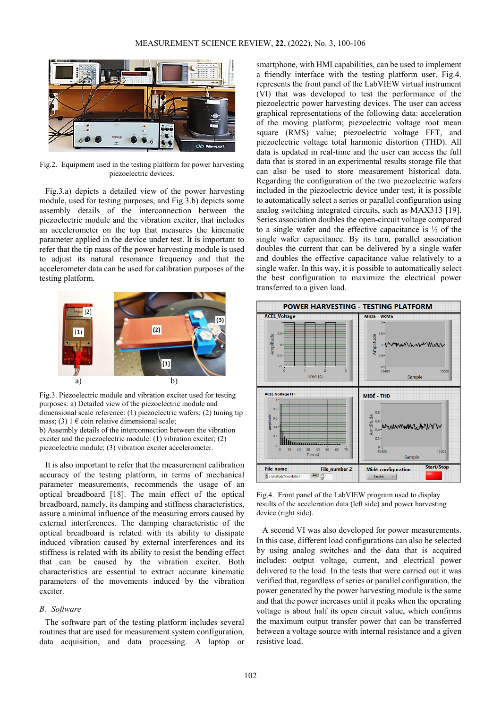

Fig.2. Equipment used in the testing platform for power harvesting piezoelectric devices.

Fig.3.a) depicts a detailed view of the power harvesting module, used for testing purposes, and Fig.3.b) depicts some assembly details of the interconnection between the piezoelectric module and the vibration exciter, that includes an accelerometer on the top that measures the kinematic parameter applied in the device under test. It is important to refer that the tip mass of the power harvesting module is used to adjust its natural resonance frequency and that the accelerometer data can be used for calibration purposes of the testing platform.



Fig.3. Piezoelectric module and vibration exciter used for testing purposes: a) Detailed view of the piezoelectric module and dimensional scale reference: (1) piezoelectric wafers; (2) tuning tip mass; (3)  $1 \in \text{coin relative dimensional scale}$ ; b) Assembly details of the interconnection between the vibration exciter and the piezoelectric module: (1) vibration exciter; (2) piezoelectric module; (3) vibration exciter accelerometer.

It is also important to refer that the measurement calibration accuracy of the testing platform, in terms of mechanical parameter measurements, recommends the usage of an optical breadboard [18]. The main effect of the optical breadboard, namely, its damping and stiffness characteristics, assure a minimal influence of the measuring errors caused by external interferences. The damping characteristic of the optical breadboard is related with its ability to dissipate induced vibration caused by external interferences and its stiffness is related with its ability to resist the bending effect that can be caused by the vibration exciter. Both characteristics are essential to extract accurate kinematic parameters of the movements induced by the vibration exciter.

# *B. Software*

The software part of the testing platform includes several routines that are used for measurement system configuration, data acquisition, and data processing. A laptop or smartphone, with HMI capabilities, can be used to implement a friendly interface with the testing platform user. Fig.4. represents the front panel of the LabVIEW virtual instrument (VI) that was developed to test the performance of the piezoelectric power harvesting devices. The user can access graphical representations of the following data: acceleration of the moving platform; piezoelectric voltage root mean square (RMS) value; piezoelectric voltage FFT, and piezoelectric voltage total harmonic distortion (THD). All data is updated in real-time and the user can access the full data that is stored in an experimental results storage file that can also be used to store measurement historical data. Regarding the configuration of the two piezoelectric wafers included in the piezoelectric device under test, it is possible to automatically select a series or parallel configuration using analog switching integrated circuits, such as MAX313 [19]. Series association doubles the open-circuit voltage compared to a single wafer and the effective capacitance is  $\frac{1}{2}$  of the single wafer capacitance. By its turn, parallel association doubles the current that can be delivered by a single wafer and doubles the effective capacitance value relatively to a single wafer. In this way, it is possible to automatically select the best configuration to maximize the electrical power transferred to a given load.



Fig.4. Front panel of the LabVIEW program used to display results of the acceleration data (left side) and power harvesting device (right side).

A second VI was also developed for power measurements. In this case, different load configurations can also be selected by using analog switches and the data that is acquired includes: output voltage, current, and electrical power delivered to the load. In the tests that were carried out it was verified that, regardless of series or parallel configuration, the power generated by the power harvesting module is the same and that the power increases until it peaks when the operating voltage is about half its open circuit value, which confirms the maximum output transfer power that can be transferred between a voltage source with internal resistance and a given resistive load.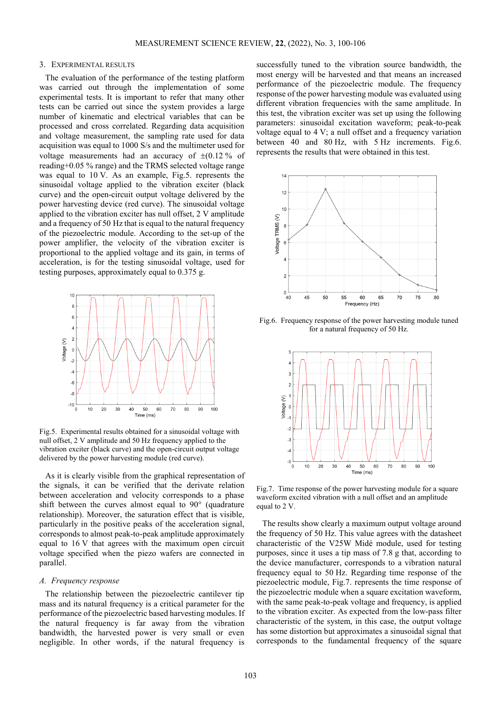#### 3. EXPERIMENTAL RESULTS

The evaluation of the performance of the testing platform was carried out through the implementation of some experimental tests. It is important to refer that many other tests can be carried out since the system provides a large number of kinematic and electrical variables that can be processed and cross correlated. Regarding data acquisition and voltage measurement, the sampling rate used for data acquisition was equal to 1000 S/s and the multimeter used for voltage measurements had an accuracy of  $\pm (0.12 \frac{9}{6})$  of reading+0.05 % range) and the TRMS selected voltage range was equal to 10 V. As an example, Fig.5. represents the sinusoidal voltage applied to the vibration exciter (black curve) and the open-circuit output voltage delivered by the power harvesting device (red curve). The sinusoidal voltage applied to the vibration exciter has null offset, 2 V amplitude and a frequency of 50 Hz that is equal to the natural frequency of the piezoelectric module. According to the set-up of the power amplifier, the velocity of the vibration exciter is proportional to the applied voltage and its gain, in terms of acceleration, is for the testing sinusoidal voltage, used for testing purposes, approximately equal to 0.375 g.



Fig.5. Experimental results obtained for a sinusoidal voltage with null offset, 2 V amplitude and 50 Hz frequency applied to the vibration exciter (black curve) and the open-circuit output voltage delivered by the power harvesting module (red curve).

As it is clearly visible from the graphical representation of the signals, it can be verified that the derivate relation between acceleration and velocity corresponds to a phase shift between the curves almost equal to 90° (quadrature relationship). Moreover, the saturation effect that is visible, particularly in the positive peaks of the acceleration signal, corresponds to almost peak-to-peak amplitude approximately equal to 16 V that agrees with the maximum open circuit voltage specified when the piezo wafers are connected in parallel.

## *A. Frequency response*

The relationship between the piezoelectric cantilever tip mass and its natural frequency is a critical parameter for the performance of the piezoelectric based harvesting modules. If the natural frequency is far away from the vibration bandwidth, the harvested power is very small or even negligible. In other words, if the natural frequency is successfully tuned to the vibration source bandwidth, the most energy will be harvested and that means an increased performance of the piezoelectric module. The frequency response of the power harvesting module was evaluated using different vibration frequencies with the same amplitude. In this test, the vibration exciter was set up using the following parameters: sinusoidal excitation waveform; peak-to-peak voltage equal to 4 V; a null offset and a frequency variation between 40 and 80 Hz, with 5 Hz increments. Fig.6. represents the results that were obtained in this test.



Fig.6. Frequency response of the power harvesting module tuned for a natural frequency of 50 Hz.



Fig.7. Time response of the power harvesting module for a square waveform excited vibration with a null offset and an amplitude equal to 2 V.

The results show clearly a maximum output voltage around the frequency of 50 Hz. This value agrees with the datasheet characteristic of the V25W Midé module, used for testing purposes, since it uses a tip mass of 7.8 g that, according to the device manufacturer, corresponds to a vibration natural frequency equal to 50 Hz. Regarding time response of the piezoelectric module, Fig.7. represents the time response of the piezoelectric module when a square excitation waveform, with the same peak-to-peak voltage and frequency, is applied to the vibration exciter. As expected from the low-pass filter characteristic of the system, in this case, the output voltage has some distortion but approximates a sinusoidal signal that corresponds to the fundamental frequency of the square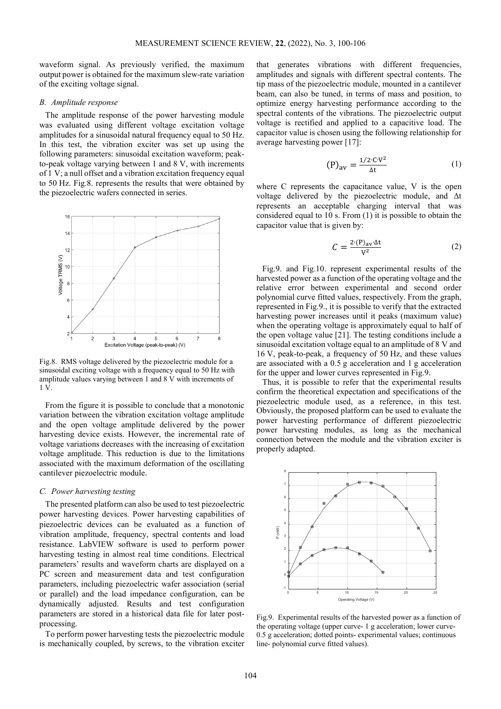waveform signal. As previously verified, the maximum output power is obtained for the maximum slew-rate variation of the exciting voltage signal.

#### *B. Amplitude response*

The amplitude response of the power harvesting module was evaluated using different voltage excitation voltage amplitudes for a sinusoidal natural frequency equal to 50 Hz. In this test, the vibration exciter was set up using the following parameters: sinusoidal excitation waveform; peakto-peak voltage varying between 1 and 8 V, with increments of 1 V; a null offset and a vibration excitation frequency equal to 50 Hz. Fig.8. represents the results that were obtained by the piezoelectric wafers connected in series.



Fig.8. RMS voltage delivered by the piezoelectric module for a sinusoidal exciting voltage with a frequency equal to 50 Hz with amplitude values varying between 1 and 8 V with increments of 1 V.

From the figure it is possible to conclude that a monotonic variation between the vibration excitation voltage amplitude and the open voltage amplitude delivered by the power harvesting device exists. However, the incremental rate of voltage variations decreases with the increasing of excitation voltage amplitude. This reduction is due to the limitations associated with the maximum deformation of the oscillating cantilever piezoelectric module.

## *C. Power harvesting testing*

The presented platform can also be used to test piezoelectric power harvesting devices. Power harvesting capabilities of piezoelectric devices can be evaluated as a function of vibration amplitude, frequency, spectral contents and load resistance. LabVIEW software is used to perform power harvesting testing in almost real time conditions. Electrical parameters' results and waveform charts are displayed on a PC screen and measurement data and test configuration parameters, including piezoelectric wafer association (serial or parallel) and the load impedance configuration, can be dynamically adjusted. Results and test configuration parameters are stored in a historical data file for later postprocessing.

To perform power harvesting tests the piezoelectric module is mechanically coupled, by screws, to the vibration exciter

that generates vibrations with different frequencies, amplitudes and signals with different spectral contents. The tip mass of the piezoelectric module, mounted in a cantilever beam, can also be tuned, in terms of mass and position, to optimize energy harvesting performance according to the spectral contents of the vibrations. The piezoelectric output voltage is rectified and applied to a capacitive load. The capacitor value is chosen using the following relationship for average harvesting power [17]:

$$
(P)_{av} = \frac{1/2 \cdot CV^2}{\Delta t} \tag{1}
$$

where C represents the capacitance value, V is the open voltage delivered by the piezoelectric module, and Δt represents an acceptable charging interval that was considered equal to 10 s. From (1) it is possible to obtain the capacitor value that is given by:

$$
C = \frac{2 \cdot (P)_{av} \cdot \Delta t}{V^2} \tag{2}
$$

Fig.9. and Fig.10. represent experimental results of the harvested power as a function of the operating voltage and the relative error between experimental and second order polynomial curve fitted values, respectively. From the graph, represented in Fig.9., it is possible to verify that the extracted harvesting power increases until it peaks (maximum value) when the operating voltage is approximately equal to half of the open voltage value [21]. The testing conditions include a sinusoidal excitation voltage equal to an amplitude of 8 V and 16 V, peak-to-peak, a frequency of 50 Hz, and these values are associated with a 0.5 g acceleration and 1 g acceleration for the upper and lower curves represented in Fig.9.

Thus, it is possible to refer that the experimental results confirm the theoretical expectation and specifications of the piezoelectric module used, as a reference, in this test. Obviously, the proposed platform can be used to evaluate the power harvesting performance of different piezoelectric power harvesting modules, as long as the mechanical connection between the module and the vibration exciter is properly adapted.



Fig.9. Experimental results of the harvested power as a function of the operating voltage (upper curve- 1 g acceleration; lower curve-0.5 g acceleration; dotted points- experimental values; continuous line- polynomial curve fitted values).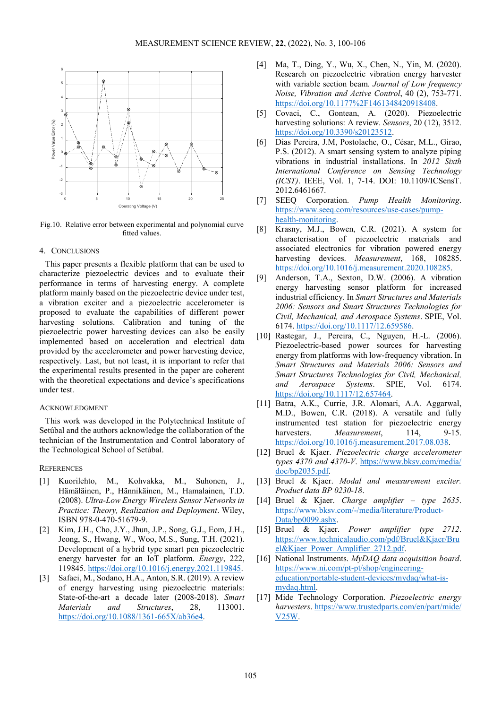

Fig.10. Relative error between experimental and polynomial curve fitted values.

# 4. CONCLUSIONS

This paper presents a flexible platform that can be used to characterize piezoelectric devices and to evaluate their performance in terms of harvesting energy. A complete platform mainly based on the piezoelectric device under test, a vibration exciter and a piezoelectric accelerometer is proposed to evaluate the capabilities of different power harvesting solutions. Calibration and tuning of the piezoelectric power harvesting devices can also be easily implemented based on acceleration and electrical data provided by the accelerometer and power harvesting device, respectively. Last, but not least, it is important to refer that the experimental results presented in the paper are coherent with the theoretical expectations and device's specifications under test.

#### ACKNOWLEDGMENT

This work was developed in the Polytechnical Institute of Setúbal and the authors acknowledge the collaboration of the technician of the Instrumentation and Control laboratory of the Technological School of Setúbal.

# **REFERENCES**

- [1] Kuorilehto, M., Kohvakka, M., Suhonen, J., Hämäläinen, P., Hännikäinen, M., Hamalainen, T.D. (2008). *Ultra-Low Energy Wireless Sensor Networks in Practice: Theory, Realization and Deployment*. Wiley, ISBN 978-0-470-51679-9.
- [2] Kim, J.H., Cho, J.Y., Jhun, J.P., Song, G.J., Eom, J.H., Jeong, S., Hwang, W., Woo, M.S., Sung, T.H. (2021). Development of a hybrid type smart pen piezoelectric energy harvester for an IoT platform. *Energy*, 222, 119845[. https://doi.org/10.1016/j.energy.2021.119845.](https://doi.org/10.1016/j.energy.2021.119845)
- [3] Safaei, M., Sodano, H.A., Anton, S.R. (2019). A review of energy harvesting using piezoelectric materials: State-of-the-art a decade later (2008-2018). *Smart Materials and Structures*, 28, 113001. [https://doi.org/10.1088/1361-665X/ab36e4.](https://doi.org/10.1088/1361-665X/ab36e4)
- [4] Ma, T., Ding, Y., Wu, X., Chen, N., Yin, M. (2020). Research on piezoelectric vibration energy harvester with variable section beam. *Journal of Low frequency Noise, Vibration and Active Control*, 40 (2), 753-771. [https://doi.org/10.1177%2F1461348420918408.](https://doi.org/10.1177%2F1461348420918408)
- [5] Covaci, C., Gontean, A. (2020). Piezoelectric harvesting solutions: A review. *Sensors*, 20 (12), 3512. [https://doi.org/10.3390/s20123512.](https://doi.org/10.3390/s20123512)
- [6] Dias Pereira, J.M, Postolache, O., César, M.L., Girao, P.S. (2012). A smart sensing system to analyze piping vibrations in industrial installations. In *2012 Sixth International Conference on Sensing Technology (ICST)*. IEEE, Vol. 1, 7-14. DOI: 10.1109/ICSensT. 2012.6461667.
- [7] SEEQ Corporation. *Pump Health Monitoring*. [https://www.seeq.com/resources/use-cases/pump](https://www.seeq.com/resources/use-cases/pump-health-monitoring)[health-monitoring.](https://www.seeq.com/resources/use-cases/pump-health-monitoring)
- [8] Krasny, M.J., Bowen, C.R. (2021). A system for characterisation of piezoelectric materials and associated electronics for vibration powered energy harvesting devices. *Measurement*, 168, 108285. [https://doi.org/10.1016/j.measurement.2020.108285.](https://doi.org/10.1016/j.measurement.2020.108285)
- [9] Anderson, T.A., Sexton, D.W. (2006). A vibration energy harvesting sensor platform for increased industrial efficiency. In *Smart Structures and Materials 2006: Sensors and Smart Structures Technologies for Civil, Mechanical, and Aerospace Systems*. SPIE, Vol. 6174. [https://doi.org/10.1117/12.659586.](https://doi.org/10.1117/12.659586)
- [10] Rastegar, J., Pereira, C., Nguyen, H.-L. (2006). Piezoelectric-based power sources for harvesting energy from platforms with low-frequency vibration. In *Smart Structures and Materials 2006: Sensors and Smart Structures Technologies for Civil, Mechanical, and Aerospace Systems*. SPIE, Vol. 6174. [https://doi.org/10.1117/12.657464.](https://doi.org/10.1117/12.657464)
- [11] Batra, A.K., Currie, J.R. Alomari, A.A. Aggarwal, M.D., Bowen, C.R. (2018). A versatile and fully instrumented test station for piezoelectric energy harvesters. *Measurement*, 114, 9-15. [https://doi.org/10.1016/j.measurement.2017.08.038.](https://doi.org/10.1016/j.measurement.2017.08.038)
- [12] Bruel & Kjaer. *Piezoelectric charge accelerometer types 4370 and 4370-V*. [https://www.bksv.com/media/](https://www.bksv.com/media/%20doc/bp2035.pdf)  [doc/bp2035.pdf.](https://www.bksv.com/media/%20doc/bp2035.pdf)
- [13] Bruel & Kjaer. *Modal and measurement exciter. Product data BP 0230-18*.
- [14] Bruel & Kjaer. *Charge amplifier – type 2635*. [https://www.bksv.com/-/media/literature/Product-](https://www.bksv.com/-/media/literature/Product-Data/bp0099.ashx)[Data/bp0099.ashx.](https://www.bksv.com/-/media/literature/Product-Data/bp0099.ashx)
- [15] Bruel & Kjaer. *Power amplifier type 2712*. [https://www.technicalaudio.com/pdf/Bruel&Kjaer/Bru](https://www.technicalaudio.com/pdf/Bruel&Kjaer/Bruel&Kjaer_Power_Amplifier_2712.pdf) [el&Kjaer\\_Power\\_Amplifier\\_2712.pdf.](https://www.technicalaudio.com/pdf/Bruel&Kjaer/Bruel&Kjaer_Power_Amplifier_2712.pdf)
- [16] National Instruments. *MyDAQ data acquisition board*. [https://www.ni.com/pt-pt/shop/engineering](https://www.ni.com/pt-pt/shop/engineering-education/portable-student-devices/mydaq/what-is-mydaq.html)[education/portable-student-devices/mydaq/what-is](https://www.ni.com/pt-pt/shop/engineering-education/portable-student-devices/mydaq/what-is-mydaq.html)[mydaq.html.](https://www.ni.com/pt-pt/shop/engineering-education/portable-student-devices/mydaq/what-is-mydaq.html)
- [17] Mide Technology Corporation. *Piezoelectric energy harvesters*. [https://www.trustedparts.com/en/part/mide/](https://www.trustedparts.com/en/part/mide/%20V25W)  [V25W.](https://www.trustedparts.com/en/part/mide/%20V25W)